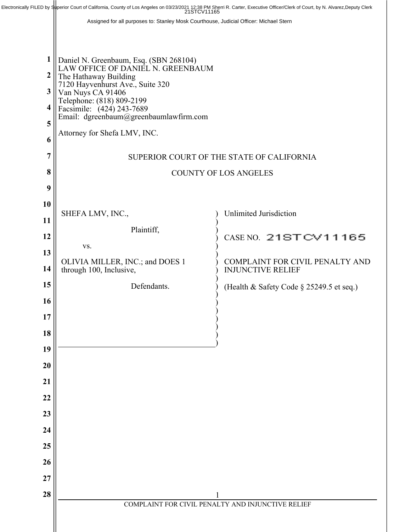|                                      | Electronically FILED by Superior Court of California, County of Los Angeles on 03/23/2021 12:38 PM Sherri R. Carter, Executive Officer/Clerk of Court, by N. Alvarez, Deputy Clerk 21STCV11165                                                                                                                                                 |                                                             |
|--------------------------------------|------------------------------------------------------------------------------------------------------------------------------------------------------------------------------------------------------------------------------------------------------------------------------------------------------------------------------------------------|-------------------------------------------------------------|
|                                      | Assigned for all purposes to: Stanley Mosk Courthouse, Judicial Officer: Michael Stern                                                                                                                                                                                                                                                         |                                                             |
|                                      |                                                                                                                                                                                                                                                                                                                                                |                                                             |
| 1<br>2<br>3<br>4<br>5<br>6<br>7<br>8 | Daniel N. Greenbaum, Esq. (SBN 268104)<br>LAW OFFICE OF DANIEL N. GREENBAUM<br>The Hathaway Building<br>7120 Hayvenhurst Ave., Suite 320<br>Van Nuys CA 91406<br>Telephone: (818) 809-2199<br>Facsimile: (424) 243-7689<br>Email: dgreenbaum@greenbaumlawfirm.com<br>Attorney for Shefa LMV, INC.<br>SUPERIOR COURT OF THE STATE OF CALIFORNIA |                                                             |
| 9                                    | <b>COUNTY OF LOS ANGELES</b>                                                                                                                                                                                                                                                                                                                   |                                                             |
| 10                                   |                                                                                                                                                                                                                                                                                                                                                |                                                             |
| 11                                   | SHEFA LMV, INC.,                                                                                                                                                                                                                                                                                                                               | <b>Unlimited Jurisdiction</b>                               |
| 12                                   | Plaintiff,                                                                                                                                                                                                                                                                                                                                     | CASE NO. 21ST CV11165                                       |
| 13                                   | VS.                                                                                                                                                                                                                                                                                                                                            |                                                             |
| 14                                   | OLIVIA MILLER, INC.; and DOES 1<br>through 100, Inclusive,                                                                                                                                                                                                                                                                                     | COMPLAINT FOR CIVIL PENALTY AND<br><b>INJUNCTIVE RELIEF</b> |
| 15                                   | Defendants.                                                                                                                                                                                                                                                                                                                                    |                                                             |
| 16                                   |                                                                                                                                                                                                                                                                                                                                                | (Health & Safety Code § 25249.5 et seq.)                    |
| 17                                   |                                                                                                                                                                                                                                                                                                                                                |                                                             |
| 18                                   |                                                                                                                                                                                                                                                                                                                                                |                                                             |
| 19                                   |                                                                                                                                                                                                                                                                                                                                                |                                                             |
| 20                                   |                                                                                                                                                                                                                                                                                                                                                |                                                             |
| 21                                   |                                                                                                                                                                                                                                                                                                                                                |                                                             |
| 22                                   |                                                                                                                                                                                                                                                                                                                                                |                                                             |
| 23                                   |                                                                                                                                                                                                                                                                                                                                                |                                                             |
| 24                                   |                                                                                                                                                                                                                                                                                                                                                |                                                             |
| 25                                   |                                                                                                                                                                                                                                                                                                                                                |                                                             |
| 26                                   |                                                                                                                                                                                                                                                                                                                                                |                                                             |
| 27                                   |                                                                                                                                                                                                                                                                                                                                                |                                                             |
| 28                                   |                                                                                                                                                                                                                                                                                                                                                |                                                             |
|                                      | COMPLAINT FOR CIVIL PENALTY AND INJUNCTIVE RELIEF                                                                                                                                                                                                                                                                                              |                                                             |
|                                      |                                                                                                                                                                                                                                                                                                                                                |                                                             |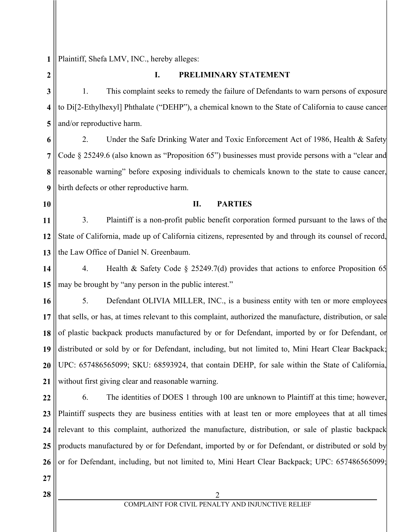**1**

Plaintiff, Shefa LMV, INC., hereby alleges:

**2 3 4 5 6 7 8 9 10 11 12 13 14 15 16 17 18 19 20 21 22 23 24 25 26 27 28** || 2 COMPLAINT FOR CIVIL PENALTY AND INJUNCTIVE RELIEF **I. PRELIMINARY STATEMENT** 1. This complaint seeks to remedy the failure of Defendants to warn persons of exposure to Di[2-Ethylhexyl] Phthalate ("DEHP"), a chemical known to the State of California to cause cancer and/or reproductive harm. 2. Under the Safe Drinking Water and Toxic Enforcement Act of 1986, Health & Safety Code § 25249.6 (also known as "Proposition 65") businesses must provide persons with a "clear and reasonable warning" before exposing individuals to chemicals known to the state to cause cancer, birth defects or other reproductive harm. **II. PARTIES** 3. Plaintiff is a non-profit public benefit corporation formed pursuant to the laws of the State of California, made up of California citizens, represented by and through its counsel of record, the Law Office of Daniel N. Greenbaum. 4. Health & Safety Code § 25249.7(d) provides that actions to enforce Proposition 65 may be brought by "any person in the public interest." 5. Defendant OLIVIA MILLER, INC., is a business entity with ten or more employees that sells, or has, at times relevant to this complaint, authorized the manufacture, distribution, or sale of plastic backpack products manufactured by or for Defendant, imported by or for Defendant, or distributed or sold by or for Defendant, including, but not limited to, Mini Heart Clear Backpack; UPC: 657486565099; SKU: 68593924, that contain DEHP, for sale within the State of California, without first giving clear and reasonable warning. 6. The identities of DOES 1 through 100 are unknown to Plaintiff at this time; however, Plaintiff suspects they are business entities with at least ten or more employees that at all times relevant to this complaint, authorized the manufacture, distribution, or sale of plastic backpack products manufactured by or for Defendant, imported by or for Defendant, or distributed or sold by or for Defendant, including, but not limited to, Mini Heart Clear Backpack; UPC: 657486565099;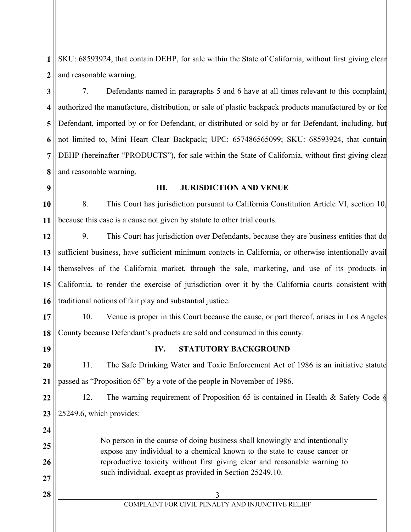**1 2** SKU: 68593924, that contain DEHP, for sale within the State of California, without first giving clear and reasonable warning.

**3 4 5 6 7 8** 7. Defendants named in paragraphs 5 and 6 have at all times relevant to this complaint, authorized the manufacture, distribution, or sale of plastic backpack products manufactured by or for Defendant, imported by or for Defendant, or distributed or sold by or for Defendant, including, but not limited to, Mini Heart Clear Backpack; UPC: 657486565099; SKU: 68593924, that contain DEHP (hereinafter "PRODUCTS"), for sale within the State of California, without first giving clear and reasonable warning.

**9**

#### **III. JURISDICTION AND VENUE**

**10 11** 8. This Court has jurisdiction pursuant to California Constitution Article VI, section 10, because this case is a cause not given by statute to other trial courts.

**12 13 14 15 16** 9. This Court has jurisdiction over Defendants, because they are business entities that do sufficient business, have sufficient minimum contacts in California, or otherwise intentionally avail themselves of the California market, through the sale, marketing, and use of its products in California, to render the exercise of jurisdiction over it by the California courts consistent with traditional notions of fair play and substantial justice.

**17 18** 10. Venue is proper in this Court because the cause, or part thereof, arises in Los Angeles County because Defendant's products are sold and consumed in this county.

**19**

**24**

**25**

**26**

**27**

## **IV. STATUTORY BACKGROUND**

**20 21** 11. The Safe Drinking Water and Toxic Enforcement Act of 1986 is an initiative statute passed as "Proposition 65" by a vote of the people in November of 1986.

**22 23** 12. The warning requirement of Proposition 65 is contained in Health & Safety Code § 25249.6, which provides:

> No person in the course of doing business shall knowingly and intentionally expose any individual to a chemical known to the state to cause cancer or reproductive toxicity without first giving clear and reasonable warning to such individual, except as provided in Section 25249.10.

**28**  $\parallel$  3

# COMPLAINT FOR CIVIL PENALTY AND INJUNCTIVE RELIEF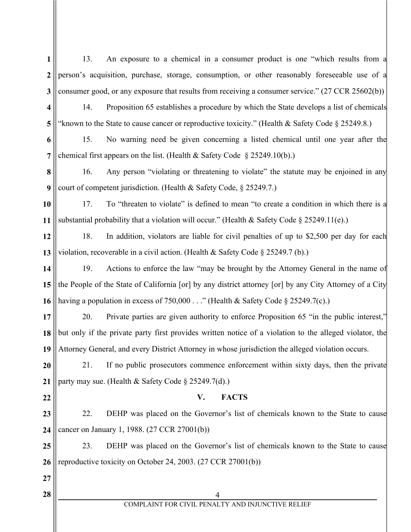- **1 2 3 4 5 6 7 8 9 10 11 12 13 14 15 16 17 18 19 20 21 22 23 24 25 26 27 28** 4 13. An exposure to a chemical in a consumer product is one "which results from a person's acquisition, purchase, storage, consumption, or other reasonably foreseeable use of a consumer good, or any exposure that results from receiving a consumer service." (27 CCR 25602(b)) 14. Proposition 65 establishes a procedure by which the State develops a list of chemicals 'known to the State to cause cancer or reproductive toxicity." (Health & Safety Code  $\S 25249.8$ .) 15. No warning need be given concerning a listed chemical until one year after the chemical first appears on the list. (Health & Safety Code  $\S 25249.10(b)$ .) 16. Any person "violating or threatening to violate" the statute may be enjoined in any court of competent jurisdiction. (Health & Safety Code, § 25249.7.) 17. To "threaten to violate" is defined to mean "to create a condition in which there is a substantial probability that a violation will occur." (Health & Safety Code  $\S 25249.11(e)$ .) 18. In addition, violators are liable for civil penalties of up to \$2,500 per day for each violation, recoverable in a civil action. (Health & Safety Code § 25249.7 (b).) 19. Actions to enforce the law "may be brought by the Attorney General in the name of the People of the State of California [or] by any district attorney [or] by any City Attorney of a City having a population in excess of 750,000 . . ." (Health & Safety Code § 25249.7(c).) 20. Private parties are given authority to enforce Proposition 65 "in the public interest," but only if the private party first provides written notice of a violation to the alleged violator, the Attorney General, and every District Attorney in whose jurisdiction the alleged violation occurs. 21. If no public prosecutors commence enforcement within sixty days, then the private party may sue. (Health & Safety Code § 25249.7(d).) **V. FACTS** 22. DEHP was placed on the Governor's list of chemicals known to the State to cause cancer on January 1, 1988. (27 CCR 27001(b)) 23. DEHP was placed on the Governor's list of chemicals known to the State to cause reproductive toxicity on October 24, 2003. (27 CCR 27001(b))
	- COMPLAINT FOR CIVIL PENALTY AND INJUNCTIVE RELIEF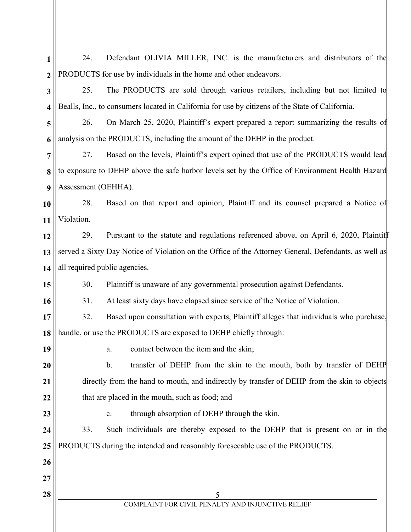| 1                | Defendant OLIVIA MILLER, INC. is the manufacturers and distributors of the<br>24.                    |  |  |
|------------------|------------------------------------------------------------------------------------------------------|--|--|
| $\boldsymbol{2}$ | PRODUCTS for use by individuals in the home and other endeavors.                                     |  |  |
| 3                | 25.<br>The PRODUCTS are sold through various retailers, including but not limited to                 |  |  |
| 4                | Bealls, Inc., to consumers located in California for use by citizens of the State of California.     |  |  |
| 5                | On March 25, 2020, Plaintiff's expert prepared a report summarizing the results of<br>26.            |  |  |
| 6                | analysis on the PRODUCTS, including the amount of the DEHP in the product.                           |  |  |
| 7                | Based on the levels, Plaintiff's expert opined that use of the PRODUCTS would lead<br>27.            |  |  |
| 8                | to exposure to DEHP above the safe harbor levels set by the Office of Environment Health Hazard      |  |  |
| 9                | Assessment (OEHHA).                                                                                  |  |  |
| 10               | 28.<br>Based on that report and opinion, Plaintiff and its counsel prepared a Notice of              |  |  |
| 11               | Violation.                                                                                           |  |  |
| 12               | 29.<br>Pursuant to the statute and regulations referenced above, on April 6, 2020, Plaintiff         |  |  |
| 13               | served a Sixty Day Notice of Violation on the Office of the Attorney General, Defendants, as well as |  |  |
| 14               | all required public agencies.                                                                        |  |  |
| 15               | 30.<br>Plaintiff is unaware of any governmental prosecution against Defendants.                      |  |  |
| 16               | At least sixty days have elapsed since service of the Notice of Violation.<br>31.                    |  |  |
| 17               | 32.<br>Based upon consultation with experts, Plaintiff alleges that individuals who purchase,        |  |  |
| 18               | handle, or use the PRODUCTS are exposed to DEHP chiefly through:                                     |  |  |
| 19               | contact between the item and the skin;<br>a.                                                         |  |  |
| 20               | $\mathbf b$ .<br>transfer of DEHP from the skin to the mouth, both by transfer of DEHP               |  |  |
| 21               | directly from the hand to mouth, and indirectly by transfer of DEHP from the skin to objects         |  |  |
| 22               | that are placed in the mouth, such as food; and                                                      |  |  |
| 23               | through absorption of DEHP through the skin.<br>c.                                                   |  |  |
| 24               | Such individuals are thereby exposed to the DEHP that is present on or in the<br>33.                 |  |  |
| 25               | PRODUCTS during the intended and reasonably foreseeable use of the PRODUCTS.                         |  |  |
| 26               |                                                                                                      |  |  |
| 27               |                                                                                                      |  |  |
| 28               | 5                                                                                                    |  |  |
|                  | COMPLAINT FOR CIVIL PENALTY AND INJUNCTIVE RELIEF                                                    |  |  |
|                  |                                                                                                      |  |  |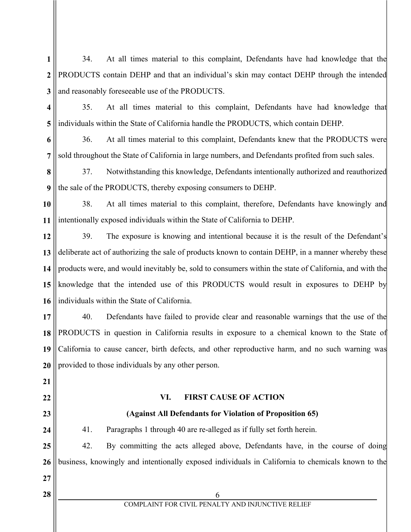- **1 2 3** 34. At all times material to this complaint, Defendants have had knowledge that the PRODUCTS contain DEHP and that an individual's skin may contact DEHP through the intended and reasonably foreseeable use of the PRODUCTS.
- **4 5** 35. At all times material to this complaint, Defendants have had knowledge that individuals within the State of California handle the PRODUCTS, which contain DEHP.

**6 7** 36. At all times material to this complaint, Defendants knew that the PRODUCTS were sold throughout the State of California in large numbers, and Defendants profited from such sales.

**8 9** 37. Notwithstanding this knowledge, Defendants intentionally authorized and reauthorized the sale of the PRODUCTS, thereby exposing consumers to DEHP.

**10 11** 38. At all times material to this complaint, therefore, Defendants have knowingly and intentionally exposed individuals within the State of California to DEHP.

**12 13 14 15 16** 39. The exposure is knowing and intentional because it is the result of the Defendant's deliberate act of authorizing the sale of products known to contain DEHP, in a manner whereby these products were, and would inevitably be, sold to consumers within the state of California, and with the knowledge that the intended use of this PRODUCTS would result in exposures to DEHP by individuals within the State of California.

**17 18 19 20** 40. Defendants have failed to provide clear and reasonable warnings that the use of the PRODUCTS in question in California results in exposure to a chemical known to the State of California to cause cancer, birth defects, and other reproductive harm, and no such warning was provided to those individuals by any other person.

**22**

**21**

## **VI. FIRST CAUSE OF ACTION**

## **(Against All Defendants for Violation of Proposition 65)**

**24 25**

**23**

41. Paragraphs 1 through 40 are re-alleged as if fully set forth herein.

**26** 42. By committing the acts alleged above, Defendants have, in the course of doing business, knowingly and intentionally exposed individuals in California to chemicals known to the

**27**